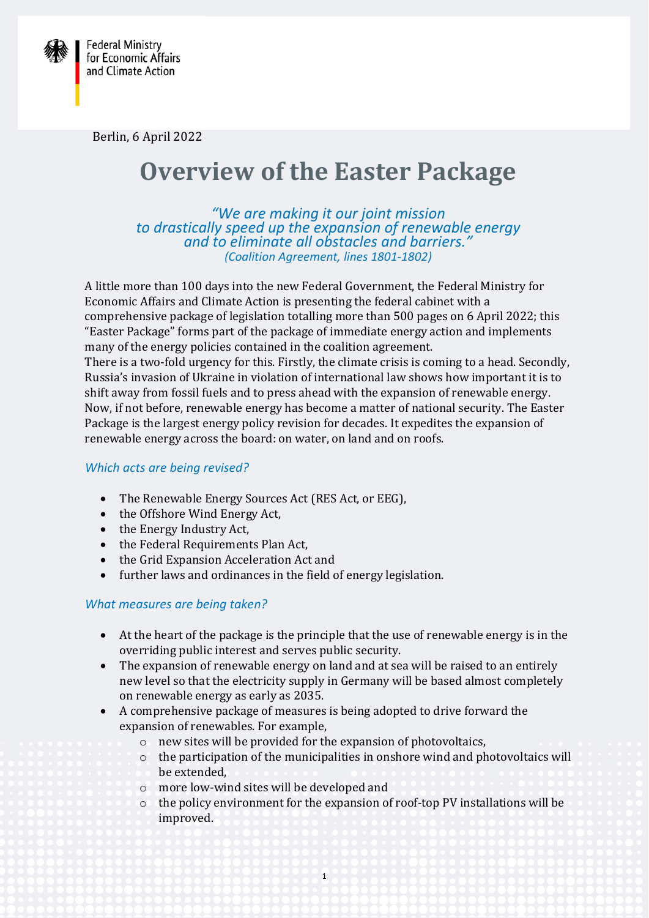

Berlin, 6 April 2022

# **Overview of the Easter Package**

*"We are making it our joint mission to drastically speed up the expansion of renewable energy and to eliminate all obstacles and barriers." (Coalition Agreement, lines 1801-1802)* 

A little more than 100 days into the new Federal Government, the Federal Ministry for Economic Affairs and Climate Action is presenting the federal cabinet with a comprehensive package of legislation totalling more than 500 pages on 6 April 2022; this "Easter Package" forms part of the package of immediate energy action and implements many of the energy policies contained in the coalition agreement. There is a two-fold urgency for this. Firstly, the climate crisis is coming to a head. Secondly, Russia's invasion of Ukraine in violation of international law shows how important it is to shift away from fossil fuels and to press ahead with the expansion of renewable energy. Now, if not before, renewable energy has become a matter of national security. The Easter Package is the largest energy policy revision for decades. It expedites the expansion of renewable energy across the board: on water, on land and on roofs.

## *Which acts are being revised?*

- The Renewable Energy Sources Act (RES Act, or EEG),
- the Offshore Wind Energy Act,
- the Energy Industry Act,
- the Federal Requirements Plan Act,
- the Grid Expansion Acceleration Act and
- further laws and ordinances in the field of energy legislation.

## *What measures are being taken?*

- At the heart of the package is the principle that the use of renewable energy is in the overriding public interest and serves public security.
- The expansion of renewable energy on land and at sea will be raised to an entirely new level so that the electricity supply in Germany will be based almost completely on renewable energy as early as 2035.
- A comprehensive package of measures is being adopted to drive forward the expansion of renewables. For example,
	- o new sites will be provided for the expansion of photovoltaics,
	- o the participation of the municipalities in onshore wind and photovoltaics will be extended,
	- o more low-wind sites will be developed and
	- o the policy environment for the expansion of roof-top PV installations will be improved.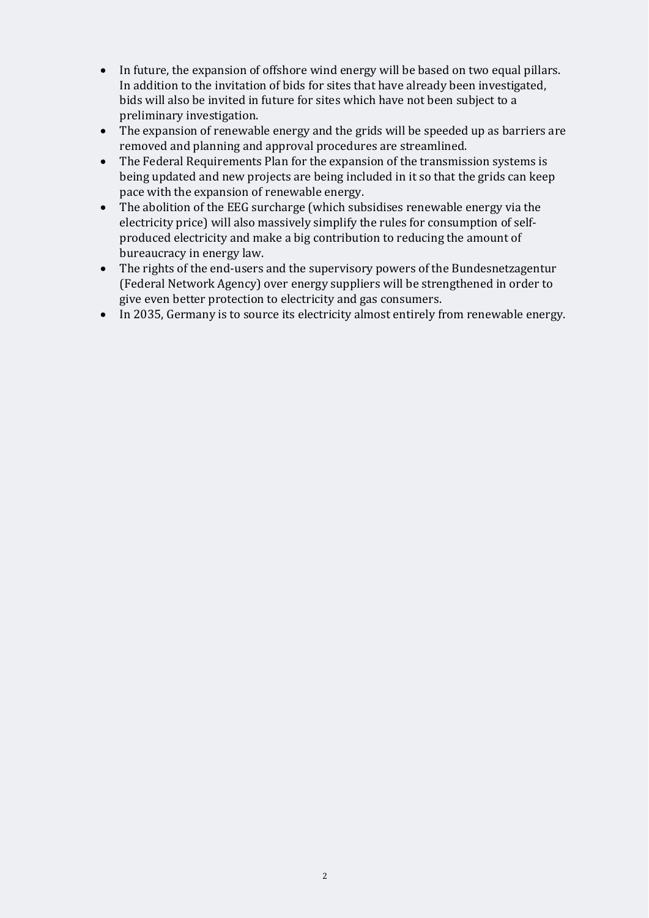- In future, the expansion of offshore wind energy will be based on two equal pillars. In addition to the invitation of bids for sites that have already been investigated, bids will also be invited in future for sites which have not been subject to a preliminary investigation.
- The expansion of renewable energy and the grids will be speeded up as barriers are removed and planning and approval procedures are streamlined.
- The Federal Requirements Plan for the expansion of the transmission systems is being updated and new projects are being included in it so that the grids can keep pace with the expansion of renewable energy.
- The abolition of the EEG surcharge (which subsidises renewable energy via the electricity price) will also massively simplify the rules for consumption of selfproduced electricity and make a big contribution to reducing the amount of bureaucracy in energy law.
- The rights of the end-users and the supervisory powers of the Bundesnetzagentur (Federal Network Agency) over energy suppliers will be strengthened in order to give even better protection to electricity and gas consumers.
- In 2035, Germany is to source its electricity almost entirely from renewable energy.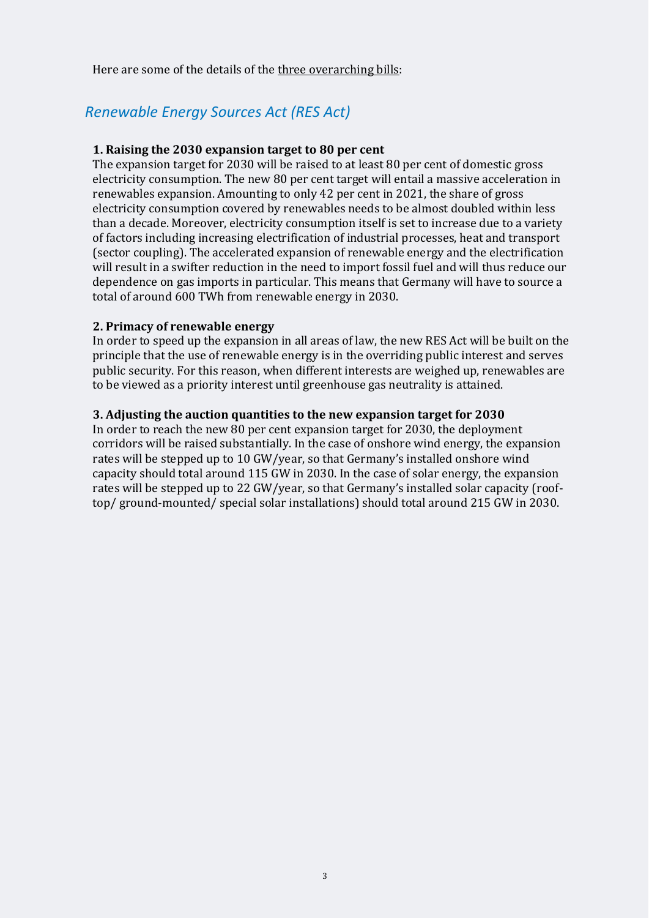Here are some of the details of the three overarching bills:

# *Renewable Energy Sources Act (RES Act)*

## **1. Raising the 2030 expansion target to 80 per cent**

The expansion target for 2030 will be raised to at least 80 per cent of domestic gross electricity consumption. The new 80 per cent target will entail a massive acceleration in renewables expansion. Amounting to only 42 per cent in 2021, the share of gross electricity consumption covered by renewables needs to be almost doubled within less than a decade. Moreover, electricity consumption itself is set to increase due to a variety of factors including increasing electrification of industrial processes, heat and transport (sector coupling). The accelerated expansion of renewable energy and the electrification will result in a swifter reduction in the need to import fossil fuel and will thus reduce our dependence on gas imports in particular. This means that Germany will have to source a total of around 600 TWh from renewable energy in 2030.

## **2. Primacy of renewable energy**

In order to speed up the expansion in all areas of law, the new RES Act will be built on the principle that the use of renewable energy is in the overriding public interest and serves public security. For this reason, when different interests are weighed up, renewables are to be viewed as a priority interest until greenhouse gas neutrality is attained.

#### **3. Adjusting the auction quantities to the new expansion target for 2030**

In order to reach the new 80 per cent expansion target for 2030, the deployment corridors will be raised substantially. In the case of onshore wind energy, the expansion rates will be stepped up to 10 GW/year, so that Germany's installed onshore wind capacity should total around 115 GW in 2030. In the case of solar energy, the expansion rates will be stepped up to 22 GW/year, so that Germany's installed solar capacity (rooftop/ ground-mounted/ special solar installations) should total around 215 GW in 2030.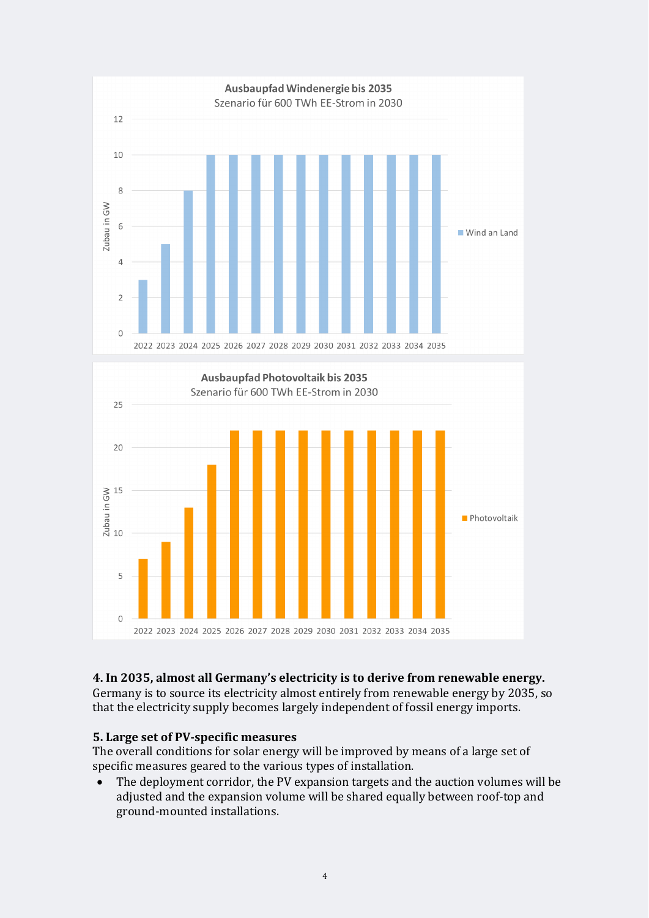

#### 2022 2023 2024 2025 2026 2027 2028 2029 2030 2031 2032 2033 2034 2035

## **4. In 2035, almost all Germany's electricity is to derive from renewable energy.**

Germany is to source its electricity almost entirely from renewable energy by 2035, so that the electricity supply becomes largely independent of fossil energy imports.

#### **5. Large set of PV-specific measures**

The overall conditions for solar energy will be improved by means of a large set of specific measures geared to the various types of installation.

 The deployment corridor, the PV expansion targets and the auction volumes will be adjusted and the expansion volume will be shared equally between roof-top and ground-mounted installations.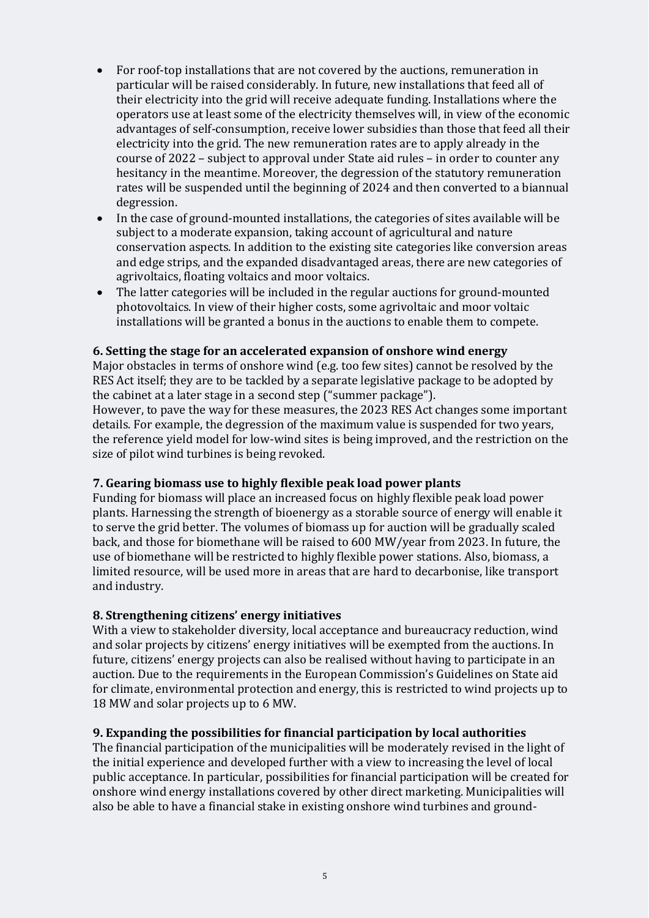- For roof-top installations that are not covered by the auctions, remuneration in particular will be raised considerably. In future, new installations that feed all of their electricity into the grid will receive adequate funding. Installations where the operators use at least some of the electricity themselves will, in view of the economic advantages of self-consumption, receive lower subsidies than those that feed all their electricity into the grid. The new remuneration rates are to apply already in the course of 2022 – subject to approval under State aid rules – in order to counter any hesitancy in the meantime. Moreover, the degression of the statutory remuneration rates will be suspended until the beginning of 2024 and then converted to a biannual degression.
- In the case of ground-mounted installations, the categories of sites available will be subject to a moderate expansion, taking account of agricultural and nature conservation aspects. In addition to the existing site categories like conversion areas and edge strips, and the expanded disadvantaged areas, there are new categories of agrivoltaics, floating voltaics and moor voltaics.
- The latter categories will be included in the regular auctions for ground-mounted photovoltaics. In view of their higher costs, some agrivoltaic and moor voltaic installations will be granted a bonus in the auctions to enable them to compete.

#### **6. Setting the stage for an accelerated expansion of onshore wind energy**

Major obstacles in terms of onshore wind (e.g. too few sites) cannot be resolved by the RES Act itself; they are to be tackled by a separate legislative package to be adopted by the cabinet at a later stage in a second step ("summer package").

However, to pave the way for these measures, the 2023 RES Act changes some important details. For example, the degression of the maximum value is suspended for two years, the reference yield model for low-wind sites is being improved, and the restriction on the size of pilot wind turbines is being revoked.

## **7. Gearing biomass use to highly flexible peak load power plants**

Funding for biomass will place an increased focus on highly flexible peak load power plants. Harnessing the strength of bioenergy as a storable source of energy will enable it to serve the grid better. The volumes of biomass up for auction will be gradually scaled back, and those for biomethane will be raised to 600 MW/year from 2023. In future, the use of biomethane will be restricted to highly flexible power stations. Also, biomass, a limited resource, will be used more in areas that are hard to decarbonise, like transport and industry.

#### **8. Strengthening citizens' energy initiatives**

With a view to stakeholder diversity, local acceptance and bureaucracy reduction, wind and solar projects by citizens' energy initiatives will be exempted from the auctions. In future, citizens' energy projects can also be realised without having to participate in an auction. Due to the requirements in the European Commission's Guidelines on State aid for climate, environmental protection and energy, this is restricted to wind projects up to 18 MW and solar projects up to 6 MW.

#### **9. Expanding the possibilities for financial participation by local authorities**

The financial participation of the municipalities will be moderately revised in the light of the initial experience and developed further with a view to increasing the level of local public acceptance. In particular, possibilities for financial participation will be created for onshore wind energy installations covered by other direct marketing. Municipalities will also be able to have a financial stake in existing onshore wind turbines and ground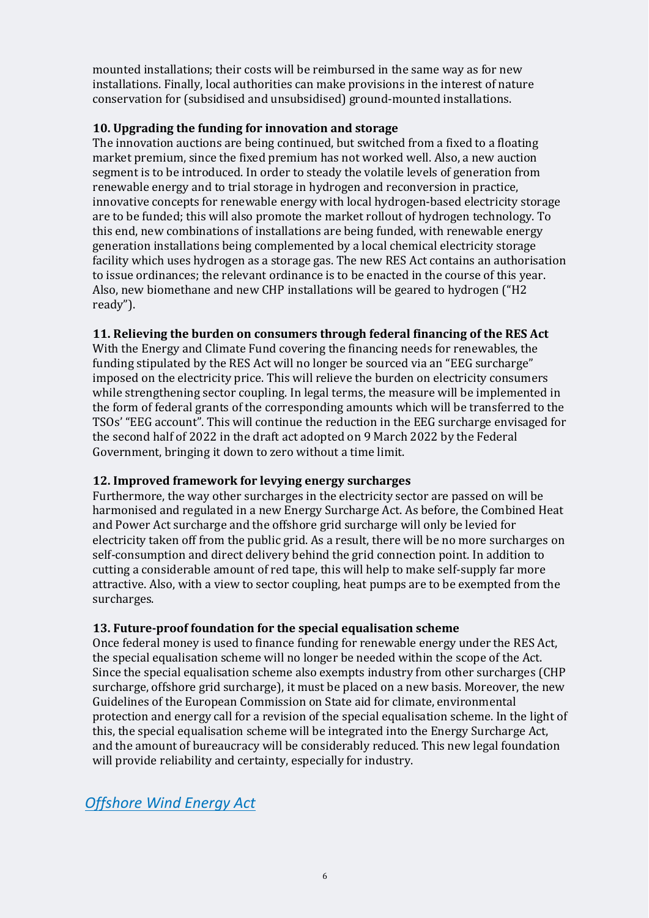mounted installations; their costs will be reimbursed in the same way as for new installations. Finally, local authorities can make provisions in the interest of nature conservation for (subsidised and unsubsidised) ground-mounted installations.

## **10. Upgrading the funding for innovation and storage**

The innovation auctions are being continued, but switched from a fixed to a floating market premium, since the fixed premium has not worked well. Also, a new auction segment is to be introduced. In order to steady the volatile levels of generation from renewable energy and to trial storage in hydrogen and reconversion in practice, innovative concepts for renewable energy with local hydrogen-based electricity storage are to be funded; this will also promote the market rollout of hydrogen technology. To this end, new combinations of installations are being funded, with renewable energy generation installations being complemented by a local chemical electricity storage facility which uses hydrogen as a storage gas. The new RES Act contains an authorisation to issue ordinances; the relevant ordinance is to be enacted in the course of this year. Also, new biomethane and new CHP installations will be geared to hydrogen ("H2 ready").

## **11. Relieving the burden on consumers through federal financing of the RES Act**

With the Energy and Climate Fund covering the financing needs for renewables, the funding stipulated by the RES Act will no longer be sourced via an "EEG surcharge" imposed on the electricity price. This will relieve the burden on electricity consumers while strengthening sector coupling. In legal terms, the measure will be implemented in the form of federal grants of the corresponding amounts which will be transferred to the TSOs' "EEG account". This will continue the reduction in the EEG surcharge envisaged for the second half of 2022 in the draft act adopted on 9 March 2022 by the Federal Government, bringing it down to zero without a time limit.

## **12. Improved framework for levying energy surcharges**

Furthermore, the way other surcharges in the electricity sector are passed on will be harmonised and regulated in a new Energy Surcharge Act. As before, the Combined Heat and Power Act surcharge and the offshore grid surcharge will only be levied for electricity taken off from the public grid. As a result, there will be no more surcharges on self-consumption and direct delivery behind the grid connection point. In addition to cutting a considerable amount of red tape, this will help to make self-supply far more attractive. Also, with a view to sector coupling, heat pumps are to be exempted from the surcharges.

## **13. Future-proof foundation for the special equalisation scheme**

Once federal money is used to finance funding for renewable energy under the RES Act, the special equalisation scheme will no longer be needed within the scope of the Act. Since the special equalisation scheme also exempts industry from other surcharges (CHP surcharge, offshore grid surcharge), it must be placed on a new basis. Moreover, the new Guidelines of the European Commission on State aid for climate, environmental protection and energy call for a revision of the special equalisation scheme. In the light of this, the special equalisation scheme will be integrated into the Energy Surcharge Act, and the amount of bureaucracy will be considerably reduced. This new legal foundation will provide reliability and certainty, especially for industry.

## *Offshore Wind Energy Act*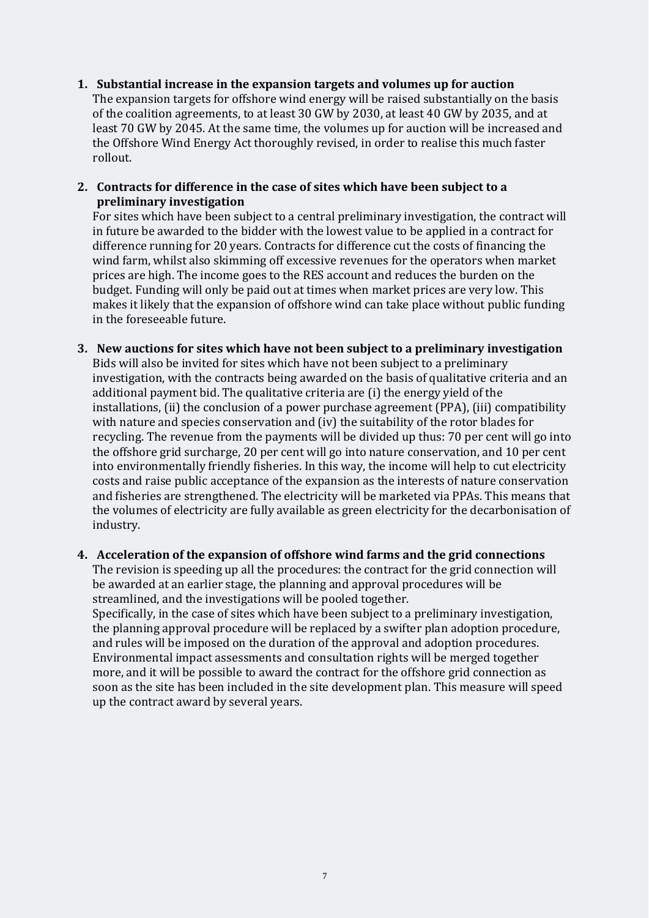#### **1. Substantial increase in the expansion targets and volumes up for auction**

The expansion targets for offshore wind energy will be raised substantially on the basis of the coalition agreements, to at least 30 GW by 2030, at least 40 GW by 2035, and at least 70 GW by 2045. At the same time, the volumes up for auction will be increased and the Offshore Wind Energy Act thoroughly revised, in order to realise this much faster rollout.

## **2. Contracts for difference in the case of sites which have been subject to a preliminary investigation**

For sites which have been subject to a central preliminary investigation, the contract will in future be awarded to the bidder with the lowest value to be applied in a contract for difference running for 20 years. Contracts for difference cut the costs of financing the wind farm, whilst also skimming off excessive revenues for the operators when market prices are high. The income goes to the RES account and reduces the burden on the budget. Funding will only be paid out at times when market prices are very low. This makes it likely that the expansion of offshore wind can take place without public funding in the foreseeable future.

## **3. New auctions for sites which have not been subject to a preliminary investigation**  Bids will also be invited for sites which have not been subject to a preliminary investigation, with the contracts being awarded on the basis of qualitative criteria and an additional payment bid. The qualitative criteria are (i) the energy yield of the installations, (ii) the conclusion of a power purchase agreement (PPA), (iii) compatibility with nature and species conservation and (iv) the suitability of the rotor blades for recycling. The revenue from the payments will be divided up thus: 70 per cent will go into the offshore grid surcharge, 20 per cent will go into nature conservation, and 10 per cent into environmentally friendly fisheries. In this way, the income will help to cut electricity costs and raise public acceptance of the expansion as the interests of nature conservation and fisheries are strengthened. The electricity will be marketed via PPAs. This means that the volumes of electricity are fully available as green electricity for the decarbonisation of industry.

#### **4. Acceleration of the expansion of offshore wind farms and the grid connections**

The revision is speeding up all the procedures: the contract for the grid connection will be awarded at an earlier stage, the planning and approval procedures will be streamlined, and the investigations will be pooled together.

Specifically, in the case of sites which have been subject to a preliminary investigation, the planning approval procedure will be replaced by a swifter plan adoption procedure, and rules will be imposed on the duration of the approval and adoption procedures. Environmental impact assessments and consultation rights will be merged together more, and it will be possible to award the contract for the offshore grid connection as soon as the site has been included in the site development plan. This measure will speed up the contract award by several years.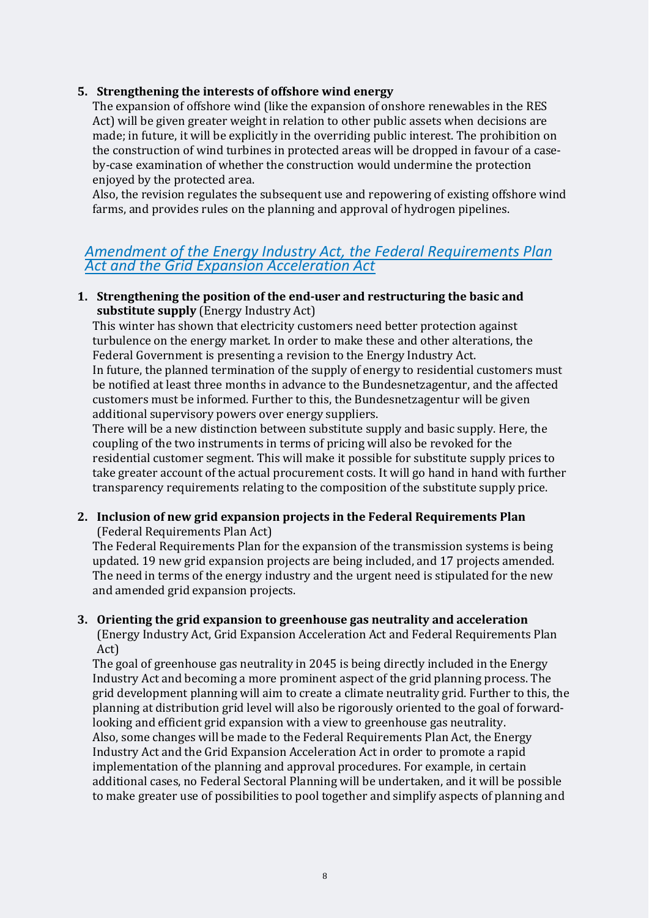## **5. Strengthening the interests of offshore wind energy**

The expansion of offshore wind (like the expansion of onshore renewables in the RES Act) will be given greater weight in relation to other public assets when decisions are made; in future, it will be explicitly in the overriding public interest. The prohibition on the construction of wind turbines in protected areas will be dropped in favour of a caseby-case examination of whether the construction would undermine the protection enjoyed by the protected area.

Also, the revision regulates the subsequent use and repowering of existing offshore wind farms, and provides rules on the planning and approval of hydrogen pipelines.

## *Amendment of the Energy Industry Act, the Federal Requirements Plan Act and the Grid Expansion Acceleration Act*

## **1. Strengthening the position of the end-user and restructuring the basic and substitute supply** (Energy Industry Act)

This winter has shown that electricity customers need better protection against turbulence on the energy market. In order to make these and other alterations, the Federal Government is presenting a revision to the Energy Industry Act.

In future, the planned termination of the supply of energy to residential customers must be notified at least three months in advance to the Bundesnetzagentur, and the affected customers must be informed. Further to this, the Bundesnetzagentur will be given additional supervisory powers over energy suppliers.

There will be a new distinction between substitute supply and basic supply. Here, the coupling of the two instruments in terms of pricing will also be revoked for the residential customer segment. This will make it possible for substitute supply prices to take greater account of the actual procurement costs. It will go hand in hand with further transparency requirements relating to the composition of the substitute supply price.

## **2. Inclusion of new grid expansion projects in the Federal Requirements Plan**  (Federal Requirements Plan Act)

The Federal Requirements Plan for the expansion of the transmission systems is being updated. 19 new grid expansion projects are being included, and 17 projects amended. The need in terms of the energy industry and the urgent need is stipulated for the new and amended grid expansion projects.

## **3. Orienting the grid expansion to greenhouse gas neutrality and acceleration**

(Energy Industry Act, Grid Expansion Acceleration Act and Federal Requirements Plan Act)

The goal of greenhouse gas neutrality in 2045 is being directly included in the Energy Industry Act and becoming a more prominent aspect of the grid planning process. The grid development planning will aim to create a climate neutrality grid. Further to this, the planning at distribution grid level will also be rigorously oriented to the goal of forwardlooking and efficient grid expansion with a view to greenhouse gas neutrality. Also, some changes will be made to the Federal Requirements Plan Act, the Energy Industry Act and the Grid Expansion Acceleration Act in order to promote a rapid implementation of the planning and approval procedures. For example, in certain additional cases, no Federal Sectoral Planning will be undertaken, and it will be possible to make greater use of possibilities to pool together and simplify aspects of planning and